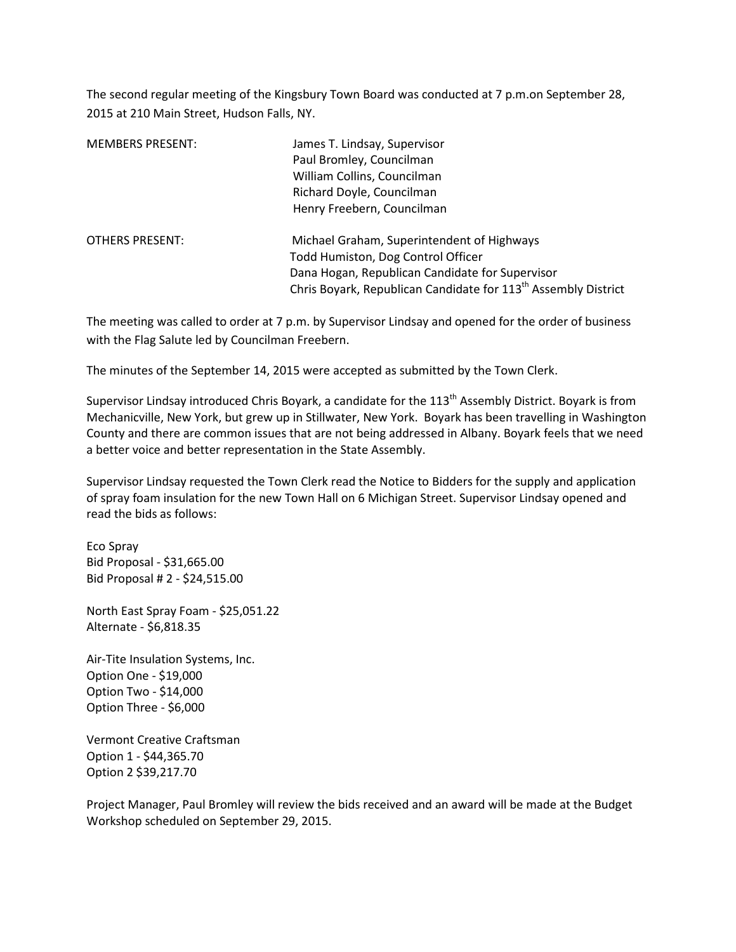The second regular meeting of the Kingsbury Town Board was conducted at 7 p.m.on September 28, 2015 at 210 Main Street, Hudson Falls, NY.

| <b>MEMBERS PRESENT:</b> | James T. Lindsay, Supervisor<br>Paul Bromley, Councilman<br>William Collins, Councilman |  |  |
|-------------------------|-----------------------------------------------------------------------------------------|--|--|
|                         | Richard Doyle, Councilman                                                               |  |  |
|                         | Henry Freebern, Councilman                                                              |  |  |
| <b>OTHERS PRESENT:</b>  | Michael Graham, Superintendent of Highways                                              |  |  |
|                         | Todd Humiston, Dog Control Officer                                                      |  |  |
|                         | Dana Hogan, Republican Candidate for Supervisor                                         |  |  |
|                         | Chris Boyark, Republican Candidate for 113 <sup>th</sup> Assembly District              |  |  |

The meeting was called to order at 7 p.m. by Supervisor Lindsay and opened for the order of business with the Flag Salute led by Councilman Freebern.

The minutes of the September 14, 2015 were accepted as submitted by the Town Clerk.

Supervisor Lindsay introduced Chris Boyark, a candidate for the 113<sup>th</sup> Assembly District. Boyark is from Mechanicville, New York, but grew up in Stillwater, New York. Boyark has been travelling in Washington County and there are common issues that are not being addressed in Albany. Boyark feels that we need a better voice and better representation in the State Assembly.

Supervisor Lindsay requested the Town Clerk read the Notice to Bidders for the supply and application of spray foam insulation for the new Town Hall on 6 Michigan Street. Supervisor Lindsay opened and read the bids as follows:

Eco Spray Bid Proposal - \$31,665.00 Bid Proposal # 2 - \$24,515.00

North East Spray Foam - \$25,051.22 Alternate - \$6,818.35

Air-Tite Insulation Systems, Inc. Option One - \$19,000 Option Two - \$14,000 Option Three - \$6,000

Vermont Creative Craftsman Option 1 - \$44,365.70 Option 2 \$39,217.70

Project Manager, Paul Bromley will review the bids received and an award will be made at the Budget Workshop scheduled on September 29, 2015.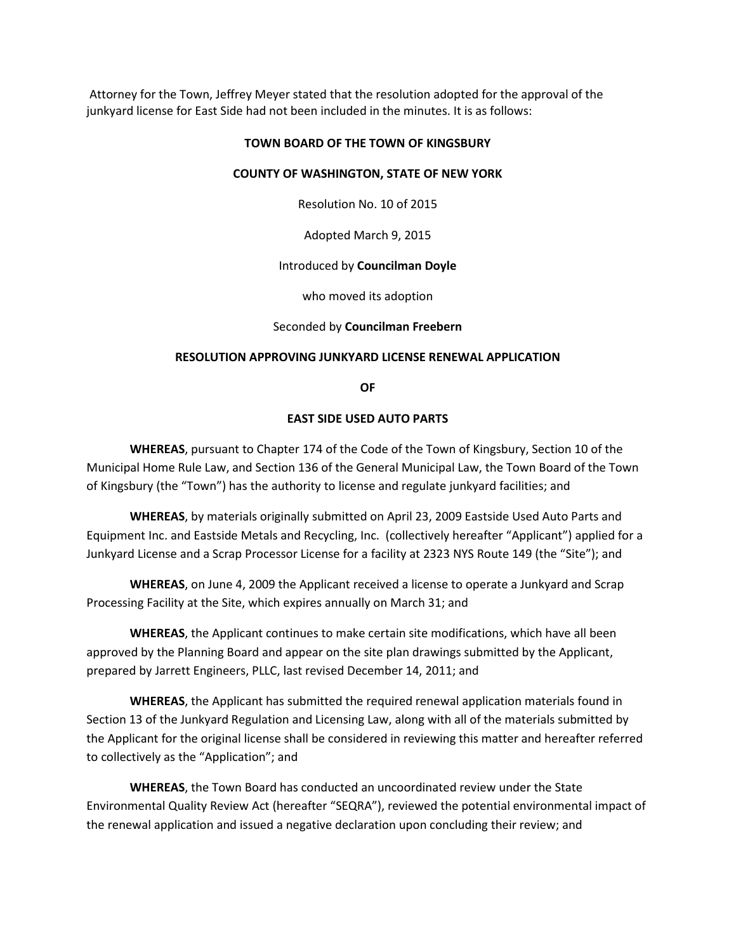Attorney for the Town, Jeffrey Meyer stated that the resolution adopted for the approval of the junkyard license for East Side had not been included in the minutes. It is as follows:

### **TOWN BOARD OF THE TOWN OF KINGSBURY**

### **COUNTY OF WASHINGTON, STATE OF NEW YORK**

Resolution No. 10 of 2015

Adopted March 9, 2015

## Introduced by **Councilman Doyle**

who moved its adoption

Seconded by **Councilman Freebern**

## **RESOLUTION APPROVING JUNKYARD LICENSE RENEWAL APPLICATION**

**OF** 

### **EAST SIDE USED AUTO PARTS**

 **WHEREAS**, pursuant to Chapter 174 of the Code of the Town of Kingsbury, Section 10 of the Municipal Home Rule Law, and Section 136 of the General Municipal Law, the Town Board of the Town of Kingsbury (the "Town") has the authority to license and regulate junkyard facilities; and

 **WHEREAS**, by materials originally submitted on April 23, 2009 Eastside Used Auto Parts and Equipment Inc. and Eastside Metals and Recycling, Inc. (collectively hereafter "Applicant") applied for a Junkyard License and a Scrap Processor License for a facility at 2323 NYS Route 149 (the "Site"); and

 **WHEREAS**, on June 4, 2009 the Applicant received a license to operate a Junkyard and Scrap Processing Facility at the Site, which expires annually on March 31; and

**WHEREAS**, the Applicant continues to make certain site modifications, which have all been approved by the Planning Board and appear on the site plan drawings submitted by the Applicant, prepared by Jarrett Engineers, PLLC, last revised December 14, 2011; and

 **WHEREAS**, the Applicant has submitted the required renewal application materials found in Section 13 of the Junkyard Regulation and Licensing Law, along with all of the materials submitted by the Applicant for the original license shall be considered in reviewing this matter and hereafter referred to collectively as the "Application"; and

 **WHEREAS**, the Town Board has conducted an uncoordinated review under the State Environmental Quality Review Act (hereafter "SEQRA"), reviewed the potential environmental impact of the renewal application and issued a negative declaration upon concluding their review; and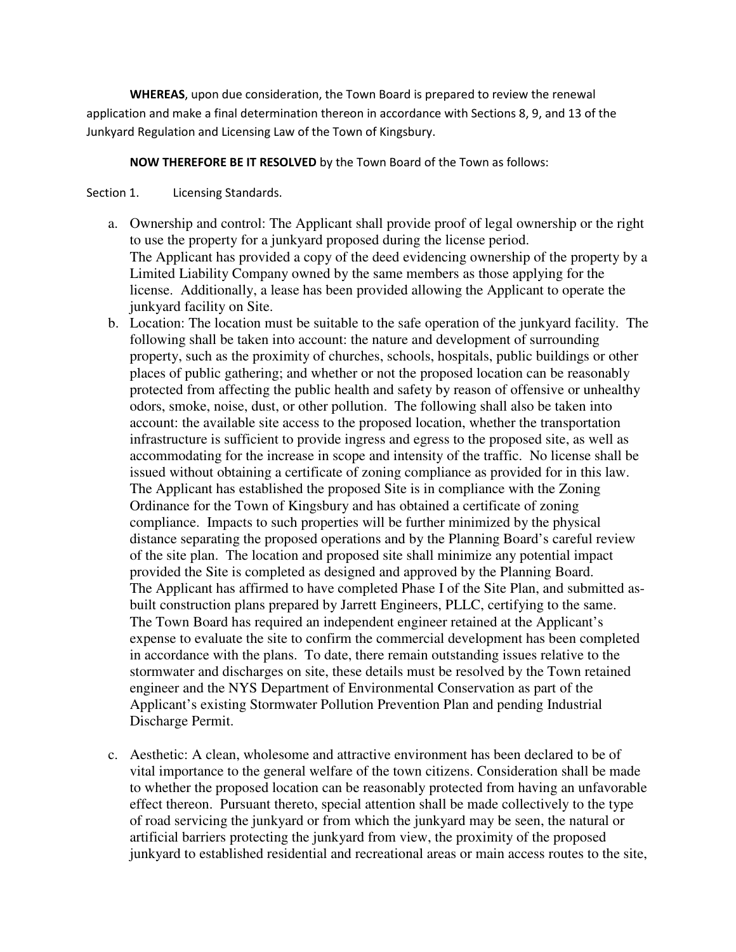**WHEREAS**, upon due consideration, the Town Board is prepared to review the renewal application and make a final determination thereon in accordance with Sections 8, 9, and 13 of the Junkyard Regulation and Licensing Law of the Town of Kingsbury.

 **NOW THEREFORE BE IT RESOLVED** by the Town Board of the Town as follows:

Section 1. Licensing Standards.

- a. Ownership and control: The Applicant shall provide proof of legal ownership or the right to use the property for a junkyard proposed during the license period. The Applicant has provided a copy of the deed evidencing ownership of the property by a Limited Liability Company owned by the same members as those applying for the license. Additionally, a lease has been provided allowing the Applicant to operate the junkyard facility on Site.
- b. Location: The location must be suitable to the safe operation of the junkyard facility. The following shall be taken into account: the nature and development of surrounding property, such as the proximity of churches, schools, hospitals, public buildings or other places of public gathering; and whether or not the proposed location can be reasonably protected from affecting the public health and safety by reason of offensive or unhealthy odors, smoke, noise, dust, or other pollution. The following shall also be taken into account: the available site access to the proposed location, whether the transportation infrastructure is sufficient to provide ingress and egress to the proposed site, as well as accommodating for the increase in scope and intensity of the traffic. No license shall be issued without obtaining a certificate of zoning compliance as provided for in this law. The Applicant has established the proposed Site is in compliance with the Zoning Ordinance for the Town of Kingsbury and has obtained a certificate of zoning compliance. Impacts to such properties will be further minimized by the physical distance separating the proposed operations and by the Planning Board's careful review of the site plan. The location and proposed site shall minimize any potential impact provided the Site is completed as designed and approved by the Planning Board. The Applicant has affirmed to have completed Phase I of the Site Plan, and submitted asbuilt construction plans prepared by Jarrett Engineers, PLLC, certifying to the same. The Town Board has required an independent engineer retained at the Applicant's expense to evaluate the site to confirm the commercial development has been completed in accordance with the plans. To date, there remain outstanding issues relative to the stormwater and discharges on site, these details must be resolved by the Town retained engineer and the NYS Department of Environmental Conservation as part of the Applicant's existing Stormwater Pollution Prevention Plan and pending Industrial Discharge Permit.
- c. Aesthetic: A clean, wholesome and attractive environment has been declared to be of vital importance to the general welfare of the town citizens. Consideration shall be made to whether the proposed location can be reasonably protected from having an unfavorable effect thereon. Pursuant thereto, special attention shall be made collectively to the type of road servicing the junkyard or from which the junkyard may be seen, the natural or artificial barriers protecting the junkyard from view, the proximity of the proposed junkyard to established residential and recreational areas or main access routes to the site,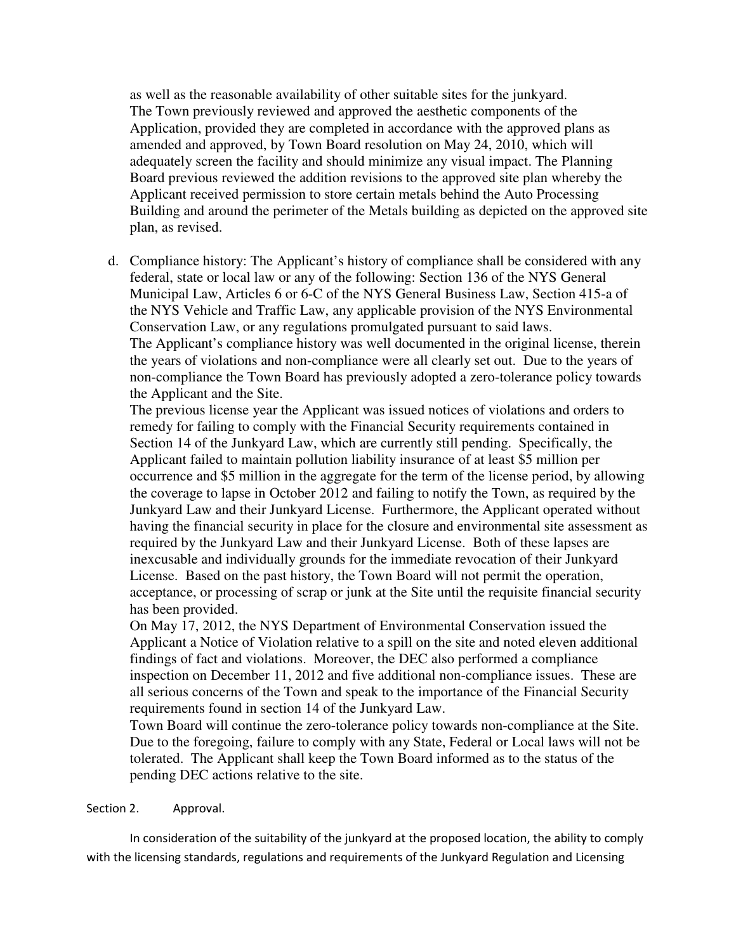as well as the reasonable availability of other suitable sites for the junkyard. The Town previously reviewed and approved the aesthetic components of the Application, provided they are completed in accordance with the approved plans as amended and approved, by Town Board resolution on May 24, 2010, which will adequately screen the facility and should minimize any visual impact. The Planning Board previous reviewed the addition revisions to the approved site plan whereby the Applicant received permission to store certain metals behind the Auto Processing Building and around the perimeter of the Metals building as depicted on the approved site plan, as revised.

d. Compliance history: The Applicant's history of compliance shall be considered with any federal, state or local law or any of the following: Section 136 of the NYS General Municipal Law, Articles 6 or 6-C of the NYS General Business Law, Section 415-a of the NYS Vehicle and Traffic Law, any applicable provision of the NYS Environmental Conservation Law, or any regulations promulgated pursuant to said laws. The Applicant's compliance history was well documented in the original license, therein the years of violations and non-compliance were all clearly set out. Due to the years of non-compliance the Town Board has previously adopted a zero-tolerance policy towards the Applicant and the Site.

The previous license year the Applicant was issued notices of violations and orders to remedy for failing to comply with the Financial Security requirements contained in Section 14 of the Junkyard Law, which are currently still pending. Specifically, the Applicant failed to maintain pollution liability insurance of at least \$5 million per occurrence and \$5 million in the aggregate for the term of the license period, by allowing the coverage to lapse in October 2012 and failing to notify the Town, as required by the Junkyard Law and their Junkyard License. Furthermore, the Applicant operated without having the financial security in place for the closure and environmental site assessment as required by the Junkyard Law and their Junkyard License. Both of these lapses are inexcusable and individually grounds for the immediate revocation of their Junkyard License. Based on the past history, the Town Board will not permit the operation, acceptance, or processing of scrap or junk at the Site until the requisite financial security has been provided.

On May 17, 2012, the NYS Department of Environmental Conservation issued the Applicant a Notice of Violation relative to a spill on the site and noted eleven additional findings of fact and violations. Moreover, the DEC also performed a compliance inspection on December 11, 2012 and five additional non-compliance issues. These are all serious concerns of the Town and speak to the importance of the Financial Security requirements found in section 14 of the Junkyard Law.

Town Board will continue the zero-tolerance policy towards non-compliance at the Site. Due to the foregoing, failure to comply with any State, Federal or Local laws will not be tolerated. The Applicant shall keep the Town Board informed as to the status of the pending DEC actions relative to the site.

# Section 2. Approval.

 In consideration of the suitability of the junkyard at the proposed location, the ability to comply with the licensing standards, regulations and requirements of the Junkyard Regulation and Licensing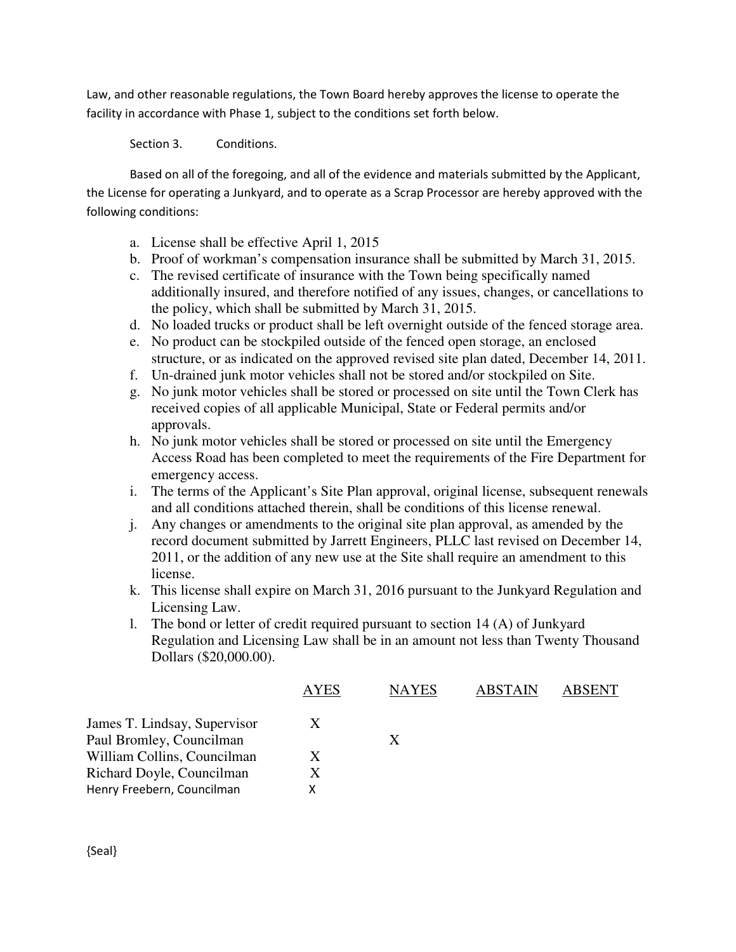Law, and other reasonable regulations, the Town Board hereby approves the license to operate the facility in accordance with Phase 1, subject to the conditions set forth below.

Section 3. Conditions.

Based on all of the foregoing, and all of the evidence and materials submitted by the Applicant, the License for operating a Junkyard, and to operate as a Scrap Processor are hereby approved with the following conditions:

- a. License shall be effective April 1, 2015
- b. Proof of workman's compensation insurance shall be submitted by March 31, 2015.
- c. The revised certificate of insurance with the Town being specifically named additionally insured, and therefore notified of any issues, changes, or cancellations to the policy, which shall be submitted by March 31, 2015.
- d. No loaded trucks or product shall be left overnight outside of the fenced storage area.
- e. No product can be stockpiled outside of the fenced open storage, an enclosed structure, or as indicated on the approved revised site plan dated, December 14, 2011.
- f. Un-drained junk motor vehicles shall not be stored and/or stockpiled on Site.
- g. No junk motor vehicles shall be stored or processed on site until the Town Clerk has received copies of all applicable Municipal, State or Federal permits and/or approvals.
- h. No junk motor vehicles shall be stored or processed on site until the Emergency Access Road has been completed to meet the requirements of the Fire Department for emergency access.
- i. The terms of the Applicant's Site Plan approval, original license, subsequent renewals and all conditions attached therein, shall be conditions of this license renewal.
- j. Any changes or amendments to the original site plan approval, as amended by the record document submitted by Jarrett Engineers, PLLC last revised on December 14, 2011, or the addition of any new use at the Site shall require an amendment to this license.
- k. This license shall expire on March 31, 2016 pursuant to the Junkyard Regulation and Licensing Law.
- l. The bond or letter of credit required pursuant to section 14 (A) of Junkyard Regulation and Licensing Law shall be in an amount not less than Twenty Thousand Dollars (\$20,000.00).

|                              | <b>AYES</b> | <b>NAYES</b> | <b>ABSTAIN</b> | <b>ABSENT</b> |
|------------------------------|-------------|--------------|----------------|---------------|
| James T. Lindsay, Supervisor |             |              |                |               |
| Paul Bromley, Councilman     |             | X            |                |               |
| William Collins, Councilman  | X           |              |                |               |
| Richard Doyle, Councilman    |             |              |                |               |
| Henry Freebern, Councilman   |             |              |                |               |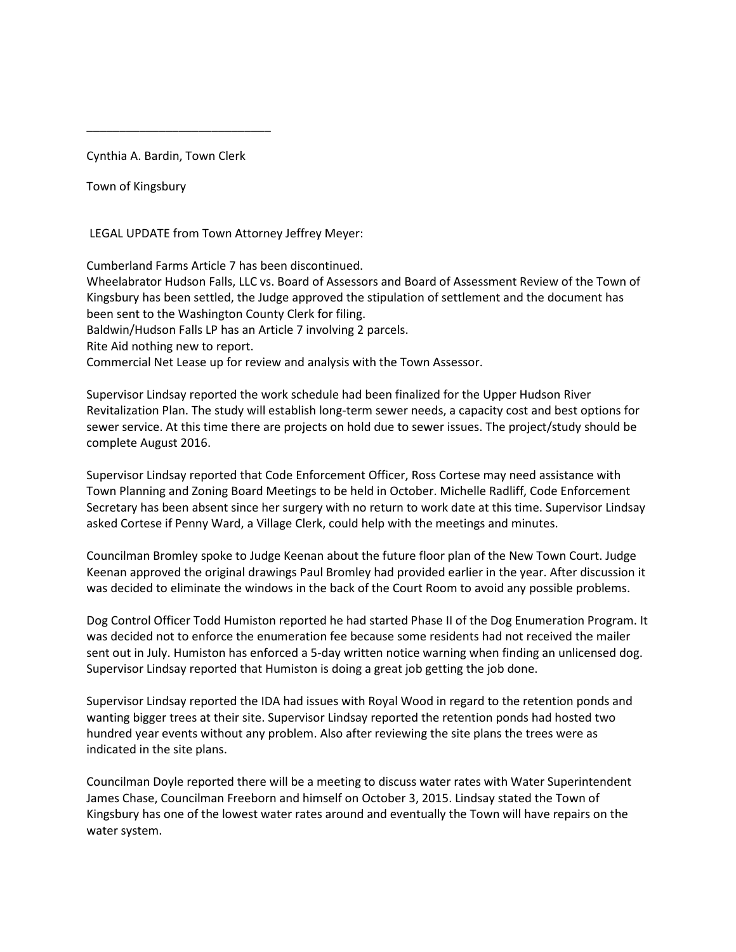Cynthia A. Bardin, Town Clerk

\_\_\_\_\_\_\_\_\_\_\_\_\_\_\_\_\_\_\_\_\_\_\_\_\_\_\_\_

Town of Kingsbury

LEGAL UPDATE from Town Attorney Jeffrey Meyer:

Cumberland Farms Article 7 has been discontinued. Wheelabrator Hudson Falls, LLC vs. Board of Assessors and Board of Assessment Review of the Town of Kingsbury has been settled, the Judge approved the stipulation of settlement and the document has been sent to the Washington County Clerk for filing. Baldwin/Hudson Falls LP has an Article 7 involving 2 parcels. Rite Aid nothing new to report. Commercial Net Lease up for review and analysis with the Town Assessor.

Supervisor Lindsay reported the work schedule had been finalized for the Upper Hudson River Revitalization Plan. The study will establish long-term sewer needs, a capacity cost and best options for sewer service. At this time there are projects on hold due to sewer issues. The project/study should be complete August 2016.

Supervisor Lindsay reported that Code Enforcement Officer, Ross Cortese may need assistance with Town Planning and Zoning Board Meetings to be held in October. Michelle Radliff, Code Enforcement Secretary has been absent since her surgery with no return to work date at this time. Supervisor Lindsay asked Cortese if Penny Ward, a Village Clerk, could help with the meetings and minutes.

Councilman Bromley spoke to Judge Keenan about the future floor plan of the New Town Court. Judge Keenan approved the original drawings Paul Bromley had provided earlier in the year. After discussion it was decided to eliminate the windows in the back of the Court Room to avoid any possible problems.

Dog Control Officer Todd Humiston reported he had started Phase II of the Dog Enumeration Program. It was decided not to enforce the enumeration fee because some residents had not received the mailer sent out in July. Humiston has enforced a 5-day written notice warning when finding an unlicensed dog. Supervisor Lindsay reported that Humiston is doing a great job getting the job done.

Supervisor Lindsay reported the IDA had issues with Royal Wood in regard to the retention ponds and wanting bigger trees at their site. Supervisor Lindsay reported the retention ponds had hosted two hundred year events without any problem. Also after reviewing the site plans the trees were as indicated in the site plans.

Councilman Doyle reported there will be a meeting to discuss water rates with Water Superintendent James Chase, Councilman Freeborn and himself on October 3, 2015. Lindsay stated the Town of Kingsbury has one of the lowest water rates around and eventually the Town will have repairs on the water system.